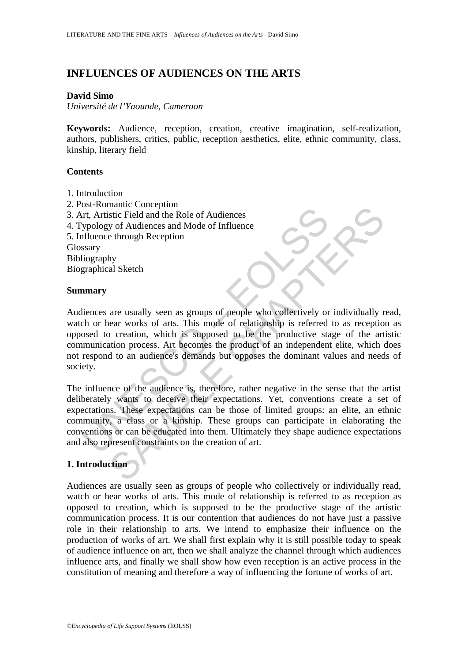# **INFLUENCES OF AUDIENCES ON THE ARTS**

## **David Simo**

*Université de l'Yaounde, Cameroon* 

**Keywords:** Audience, reception, creation, creative imagination, self-realization, authors, publishers, critics, public, reception aesthetics, elite, ethnic community, class, kinship, literary field

## **Contents**

- 1. Introduction
- 2. Post-Romantic Conception
- 3. Art, Artistic Field and the Role of Audiences
- 4. Typology of Audiences and Mode of Influence
- 5. Influence through Reception Glossary

Bibliography Biographical Sketch

## **Summary**

So romance conception<br>tri, Artistic Field and the Role of Audiences<br>ypology of Audiences and Mode of Influence<br>filuence through Reception<br>stary<br>iography<br>marry<br>incress are usually seen as groups of people who collectively o manne conception<br>stic Field and the Role of Audiences<br>of the Cheland the Role of Audiences<br>e through Reception<br>hy<br>al Sketch<br>tion are usually seen as groups of people who collectively or individually r<br>ear works of arts. Th Audiences are usually seen as groups of people who collectively or individually read, watch or hear works of arts. This mode of relationship is referred to as reception as opposed to creation, which is supposed to be the productive stage of the artistic communication process. Art becomes the product of an independent elite, which does not respond to an audience's demands but opposes the dominant values and needs of society.

The influence of the audience is, therefore, rather negative in the sense that the artist deliberately wants to deceive their expectations. Yet, conventions create a set of expectations. These expectations can be those of limited groups: an elite, an ethnic community, a class or a kinship. These groups can participate in elaborating the conventions or can be educated into them. Ultimately they shape audience expectations and also represent constraints on the creation of art.

## **1. Introduction**

Audiences are usually seen as groups of people who collectively or individually read, watch or hear works of arts. This mode of relationship is referred to as reception as opposed to creation, which is supposed to be the productive stage of the artistic communication process. It is our contention that audiences do not have just a passive role in their relationship to arts. We intend to emphasize their influence on the production of works of art. We shall first explain why it is still possible today to speak of audience influence on art, then we shall analyze the channel through which audiences influence arts, and finally we shall show how even reception is an active process in the constitution of meaning and therefore a way of influencing the fortune of works of art.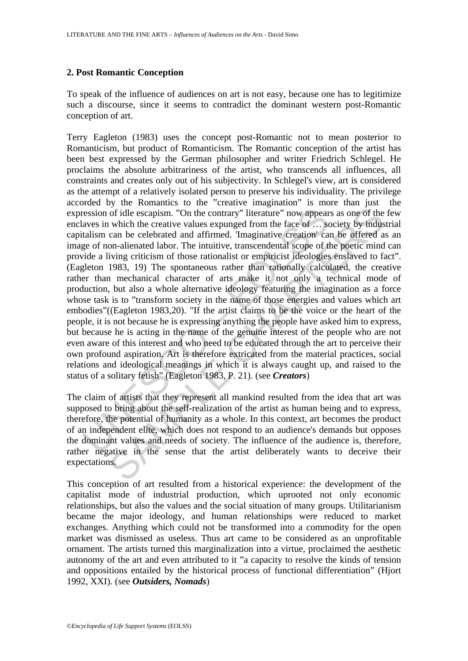## **2. Post Romantic Conception**

To speak of the influence of audiences on art is not easy, because one has to legitimize such a discourse, since it seems to contradict the dominant western post-Romantic conception of art.

ression of idle escapism. "On the contrary" literature" now appear<br>aves in which the creative values expunged from the face of ... set<br>alism can be celebrated and affirmed. Tmaginative creation' ca<br>ge of non-alienated labo of idle escapism. "On the contrary" literature" now appears as one of the which the creative values expunged from the face of ... society by indus can be celebrated and affirmed. Imaginative creation "can be offreed a solu Terry Eagleton (1983) uses the concept post-Romantic not to mean posterior to Romanticism, but product of Romanticism. The Romantic conception of the artist has been best expressed by the German philosopher and writer Friedrich Schlegel. He proclaims the absolute arbitrariness of the artist, who transcends all influences, all constraints and creates only out of his subjectivity. In Schlegel's view, art is considered as the attempt of a relatively isolated person to preserve his individuality. The privilege accorded by the Romantics to the "creative imagination" is more than just the expression of idle escapism. "On the contrary" literature" now appears as one of the few enclaves in which the creative values expunged from the face of … society by industrial capitalism can be celebrated and affirmed. 'Imaginative creation' can be offered as an image of non-alienated labor. The intuitive, transcendental scope of the poetic mind can provide a living criticism of those rationalist or empiricist ideologies enslaved to fact". (Eagleton 1983, 19) The spontaneous rather than rationally calculated, the creative rather than mechanical character of arts make it not only a technical mode of production, but also a whole alternative ideology featuring the imagination as a force whose task is to "transform society in the name of those energies and values which art embodies"((Eagleton 1983,20). "If the artist claims to be the voice or the heart of the people, it is not because he is expressing anything the people have asked him to express, but because he is acting in the name of the genuine interest of the people who are not even aware of this interest and who need to be educated through the art to perceive their own profound aspiration. Art is therefore extricated from the material practices, social relations and ideological meanings in which it is always caught up, and raised to the status of a solitary fetish" (Eagleton 1983, P. 21). (see *Creators*)

The claim of artists that they represent all mankind resulted from the idea that art was supposed to bring about the self-realization of the artist as human being and to express, therefore, the potential of humanity as a whole. In this context, art becomes the product of an independent elite, which does not respond to an audience's demands but opposes the dominant values and needs of society. The influence of the audience is, therefore, rather negative in the sense that the artist deliberately wants to deceive their expectations.

This conception of art resulted from a historical experience: the development of the capitalist mode of industrial production, which uprooted not only economic relationships, but also the values and the social situation of many groups. Utilitarianism became the major ideology, and human relationships were reduced to market exchanges. Anything which could not be transformed into a commodity for the open market was dismissed as useless. Thus art came to be considered as an unprofitable ornament. The artists turned this marginalization into a virtue, proclaimed the aesthetic autonomy of the art and even attributed to it "a capacity to resolve the kinds of tension and oppositions entailed by the historical process of functional differentiation" (Hjort 1992, XXI). (see *Outsiders, Nomads*)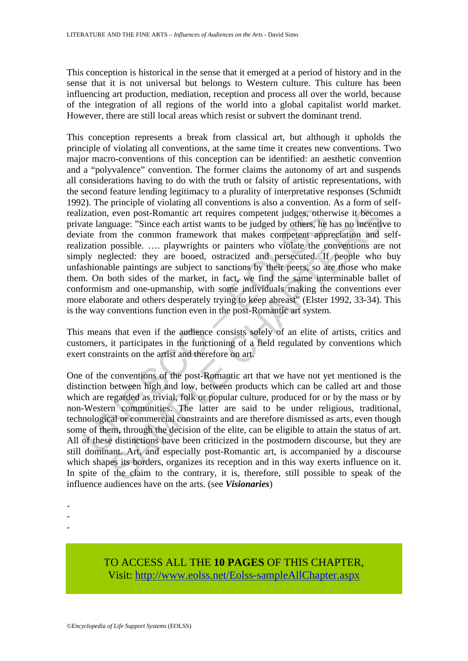This conception is historical in the sense that it emerged at a period of history and in the sense that it is not universal but belongs to Western culture. This culture has been influencing art production, mediation, reception and process all over the world, because of the integration of all regions of the world into a global capitalist world market. However, there are still local areas which resist or subvert the dominant trend.

ization, even post-Romantic art requires competent judges, other<br>ization, even post-Romantic art requires competent judges, other<br>ate language: "Since each artist wants to be judged by others, he<br>late from the common frame This conception represents a break from classical art, but although it upholds the principle of violating all conventions, at the same time it creates new conventions. Two major macro-conventions of this conception can be identified: an aesthetic convention and a "polyvalence" convention. The former claims the autonomy of art and suspends all considerations having to do with the truth or falsity of artistic representations, with the second feature lending legitimacy to a plurality of interpretative responses (Schmidt 1992). The principle of violating all conventions is also a convention. As a form of selfrealization, even post-Romantic art requires competent judges, otherwise it becomes a private language: "Since each artist wants to be judged by others, he has no incentive to deviate from the common framework that makes competent appreciation and selfrealization possible. …. playwrights or painters who violate the conventions are not simply neglected: they are booed, ostracized and persecuted. If people who buy unfashionable paintings are subject to sanctions by their peers, so are those who make them. On both sides of the market, in fact, we find the same interminable ballet of conformism and one-upmanship, with some individuals making the conventions ever more elaborate and others desperately trying to keep abreast" (Elster 1992, 33-34). This is the way conventions function even in the post-Romantic art system.

This means that even if the audience consists solely of an elite of artists, critics and customers, it participates in the functioning of a field regulated by conventions which exert constraints on the artist and therefore on art.

even post-Romantic art requires competent judges, otherwise it becompage: "Since each artist wants to be judged by others, he has no incentive posible. ..., playwrights or paracter approximate approximate moment possible. One of the conventions of the post-Romantic art that we have not yet mentioned is the distinction between high and low, between products which can be called art and those which are regarded as trivial, folk or popular culture, produced for or by the mass or by non-Western communities. The latter are said to be under religious, traditional, technological or commercial constraints and are therefore dismissed as arts, even though some of them, through the decision of the elite, can be eligible to attain the status of art. All of these distinctions have been criticized in the postmodern discourse, but they are still dominant. Art, and especially post-Romantic art, is accompanied by a discourse which shapes its borders, organizes its reception and in this way exerts influence on it. In spite of the claim to the contrary, it is, therefore, still possible to speak of the influence audiences have on the arts. (see *Visionaries*)

-

-

-

TO ACCESS ALL THE **10 PAGES** OF THIS CHAPTER, Vis[it: http://www.eolss.net/Eolss-sampleAllChapter.aspx](https://www.eolss.net/ebooklib/sc_cart.aspx?File=E6-24-02-02)